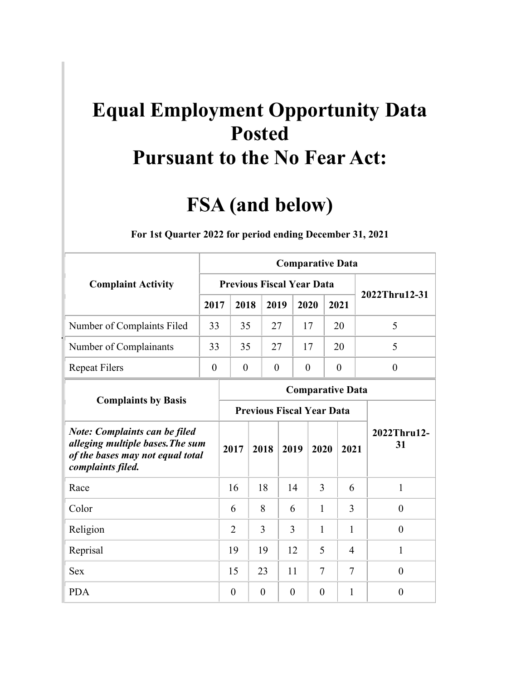## **Pursuant to the No Fear Act: Equal Employment Opportunity Data Posted**

## **FSA (and below)**

|                                                                                                                                   |                                                                                                       |                                  |                                  |                  |                | <b>Comparative Data</b> |                  |  |                   |
|-----------------------------------------------------------------------------------------------------------------------------------|-------------------------------------------------------------------------------------------------------|----------------------------------|----------------------------------|------------------|----------------|-------------------------|------------------|--|-------------------|
| <b>Complaint Activity</b>                                                                                                         |                                                                                                       | <b>Previous Fiscal Year Data</b> |                                  |                  |                |                         |                  |  | 2022Thru12-31     |
|                                                                                                                                   | 2017                                                                                                  | 2018                             |                                  | 2019             |                | 2020                    | 2021             |  |                   |
| Number of Complaints Filed                                                                                                        | 33                                                                                                    | 35                               |                                  | 27               |                | 17                      | 20               |  | 5                 |
| Number of Complainants                                                                                                            | 33                                                                                                    | 35                               |                                  | 27               |                | 17                      | 20               |  | 5                 |
| <b>Repeat Filers</b>                                                                                                              | $\boldsymbol{0}$                                                                                      | $\boldsymbol{0}$                 |                                  | $\boldsymbol{0}$ |                | $\boldsymbol{0}$        | $\boldsymbol{0}$ |  | $\boldsymbol{0}$  |
|                                                                                                                                   |                                                                                                       |                                  |                                  |                  |                | <b>Comparative Data</b> |                  |  |                   |
| <b>Complaints by Basis</b>                                                                                                        |                                                                                                       |                                  | <b>Previous Fiscal Year Data</b> |                  |                |                         |                  |  |                   |
| <b>Note: Complaints can be filed</b><br>alleging multiple bases. The sum<br>of the bases may not equal total<br>complaints filed. |                                                                                                       | 2017                             |                                  |                  |                |                         |                  |  | 2022Thru12-<br>31 |
| Race                                                                                                                              |                                                                                                       | 16                               | 18                               |                  |                | 3                       | 6                |  | $\mathbf{1}$      |
| Color                                                                                                                             |                                                                                                       | 6                                | 8                                |                  |                | $\mathbf{1}$            | 3                |  | $\overline{0}$    |
| Religion                                                                                                                          |                                                                                                       | 2                                | 3                                |                  |                | 1                       | 1                |  | $\theta$          |
| Reprisal                                                                                                                          |                                                                                                       | 19                               | 19                               |                  |                | 5                       | $\overline{4}$   |  | 1                 |
| <b>Sex</b>                                                                                                                        | 2018<br>2019<br>2020<br>2021<br>14<br>6<br>3<br>12<br>$\tau$<br>15<br>23<br>11<br>7<br>$\overline{0}$ |                                  |                                  |                  |                |                         |                  |  |                   |
| <b>PDA</b>                                                                                                                        |                                                                                                       | $\overline{0}$                   | $\overline{0}$                   |                  | $\overline{0}$ | $\theta$                | 1                |  | $\overline{0}$    |

**For 1st Quarter 2022 for period ending December 31, 2021**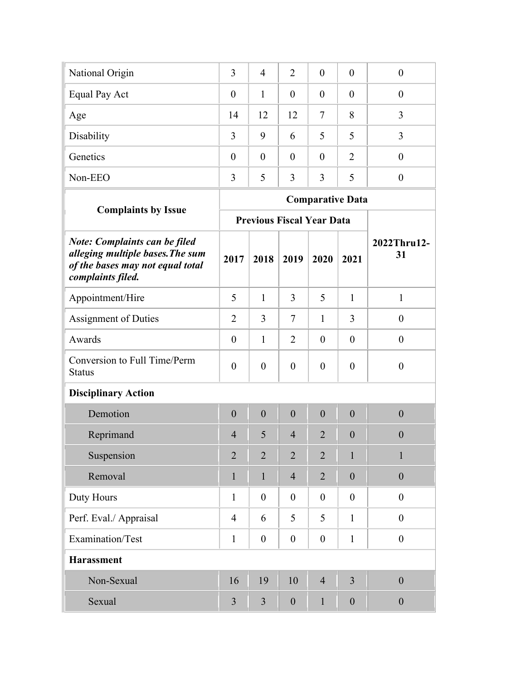| National Origin | 3                | 4              | 2        | $\overline{0}$ | $\overline{0}$ | U |
|-----------------|------------------|----------------|----------|----------------|----------------|---|
| Equal Pay Act   | $\boldsymbol{0}$ |                | $\theta$ | $\theta$       | $\overline{0}$ | 0 |
| Age             | 14               | 12             | 12       | 7              | 8              |   |
| Disability      | 3                | 9              | 6        | 5              | 5              |   |
| Genetics        | $\overline{0}$   | $\overline{0}$ | $\theta$ | $\overline{0}$ | $\overline{2}$ | U |
| Non-EEO         |                  | 5              | 3        | 3              | 5              |   |

|                                                                                                                            |                |                |                  | <b>Comparative Data</b>          |                  |                   |
|----------------------------------------------------------------------------------------------------------------------------|----------------|----------------|------------------|----------------------------------|------------------|-------------------|
| <b>Complaints by Issue</b>                                                                                                 |                |                |                  | <b>Previous Fiscal Year Data</b> |                  |                   |
| Note: Complaints can be filed<br>alleging multiple bases. The sum<br>of the bases may not equal total<br>complaints filed. | 2017           | 2018           | 2019             | 2020                             | 2021             | 2022Thru12-<br>31 |
| Appointment/Hire                                                                                                           | 5              | 1              | 3                | 5                                | 1                | $\mathbf{1}$      |
| <b>Assignment of Duties</b>                                                                                                | $\overline{2}$ | 3              | $\tau$           | $\mathbf{1}$                     | 3                | $\mathbf{0}$      |
| Awards                                                                                                                     | $\overline{0}$ | $\mathbf{1}$   | $\overline{2}$   | $\theta$                         | $\theta$         | $\boldsymbol{0}$  |
| Conversion to Full Time/Perm<br><b>Status</b>                                                                              | $\overline{0}$ | $\overline{0}$ | $\overline{0}$   | $\overline{0}$                   | $\theta$         | $\boldsymbol{0}$  |
| <b>Disciplinary Action</b>                                                                                                 |                |                |                  |                                  |                  |                   |
| Demotion                                                                                                                   | $\overline{0}$ | $\overline{0}$ | $\overline{0}$   | $\overline{0}$                   | $\overline{0}$   | $\overline{0}$    |
| Reprimand                                                                                                                  | $\overline{4}$ | 5              | $\overline{4}$   | $\overline{2}$                   | $\overline{0}$   | $\overline{0}$    |
| Suspension                                                                                                                 | $\overline{2}$ | $\overline{2}$ | $\overline{2}$   | $\overline{2}$                   | $\mathbf{1}$     | $\mathbf{1}$      |
| Removal                                                                                                                    | $\mathbf{1}$   | $\mathbf{1}$   | $\overline{4}$   | $\overline{2}$                   | $\overline{0}$   | $\mathbf{0}$      |
| Duty Hours                                                                                                                 | $\mathbf{1}$   | $\theta$       | $\theta$         | $\theta$                         | $\theta$         | $\overline{0}$    |
| Perf. Eval./ Appraisal                                                                                                     | 4              | 6              | 5                | 5                                | $\mathbf{1}$     | $\boldsymbol{0}$  |
| Examination/Test                                                                                                           | $\mathbf{1}$   | $\overline{0}$ | $\overline{0}$   | $\theta$                         | $\mathbf{1}$     | $\mathbf{0}$      |
| <b>Harassment</b>                                                                                                          |                |                |                  |                                  |                  |                   |
| Non-Sexual                                                                                                                 | 16             | 19             | 10               | $\overline{4}$                   | $\overline{3}$   | $\mathbf{0}$      |
| Sexual                                                                                                                     | 3              | 3              | $\boldsymbol{0}$ | 1                                | $\boldsymbol{0}$ | $\mathbf{0}$      |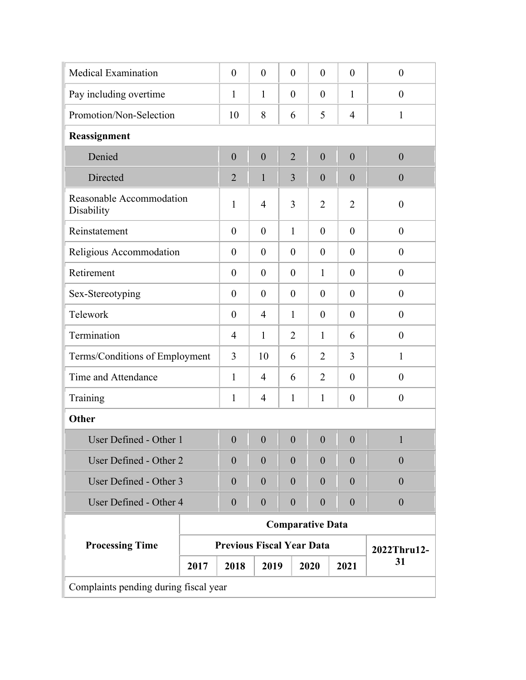| <b>Medical Examination</b>             |      | $\theta$                         | $\theta$         | $\theta$         | $\theta$                | $\theta$         | $\theta$         |
|----------------------------------------|------|----------------------------------|------------------|------------------|-------------------------|------------------|------------------|
| Pay including overtime                 |      | 1                                | $\mathbf{1}$     | $\theta$         | $\theta$                | $\mathbf{1}$     | $\theta$         |
| Promotion/Non-Selection                |      | 10                               | 8                | 6                | 5                       | $\overline{4}$   | $\mathbf{1}$     |
| Reassignment                           |      |                                  |                  |                  |                         |                  |                  |
| Denied                                 |      | $\boldsymbol{0}$                 | $\mathbf{0}$     | $\overline{2}$   | $\overline{0}$          | $\overline{0}$   | $\boldsymbol{0}$ |
| Directed                               |      | $\overline{2}$                   | $\mathbf{1}$     | 3                | $\overline{0}$          | $\overline{0}$   | $\boldsymbol{0}$ |
| Reasonable Accommodation<br>Disability |      | 1                                | $\overline{4}$   | 3                | $\overline{2}$          | $\overline{2}$   | $\boldsymbol{0}$ |
| Reinstatement                          |      | $\overline{0}$                   | $\theta$         | $\mathbf{1}$     | $\theta$                | $\theta$         | $\theta$         |
| Religious Accommodation                |      | $\theta$                         | $\theta$         | $\theta$         | $\overline{0}$          | $\theta$         | $\theta$         |
| Retirement                             |      | $\theta$                         | $\theta$         | $\theta$         | $\mathbf{1}$            | $\theta$         | $\mathbf{0}$     |
| Sex-Stereotyping                       |      | $\theta$                         | $\theta$         | $\theta$         | $\theta$                | $\theta$         | $\theta$         |
| Telework                               |      | $\theta$                         | $\overline{4}$   | $\mathbf{1}$     | $\boldsymbol{0}$        | $\theta$         | $\theta$         |
| Termination                            |      | 4                                | $\mathbf{1}$     | $\overline{2}$   | $\mathbf{1}$            | 6                | $\boldsymbol{0}$ |
| Terms/Conditions of Employment         |      | 3                                | 10               | 6                | $\overline{2}$          | 3                | $\mathbf{1}$     |
| Time and Attendance                    |      | 1                                | 4                | 6                | $\overline{2}$          | $\theta$         | $\theta$         |
| Training                               |      | 1                                | $\overline{4}$   | 1                | $\mathbf{1}$            | $\boldsymbol{0}$ | $\boldsymbol{0}$ |
| Other                                  |      |                                  |                  |                  |                         |                  |                  |
| User Defined - Other 1                 |      | $\overline{0}$                   | $\overline{0}$   | $\overline{0}$   | $\overline{0}$          | $\boldsymbol{0}$ | $\mathbf{1}$     |
| User Defined - Other 2                 |      | $\overline{0}$                   | $\theta$         | $\overline{0}$   | $\theta$                | $\overline{0}$   | $\boldsymbol{0}$ |
| User Defined - Other 3                 |      | $\boldsymbol{0}$                 | $\boldsymbol{0}$ | $\theta$         | $\boldsymbol{0}$        | $\overline{0}$   | $\overline{0}$   |
| User Defined - Other 4                 |      | $\boldsymbol{0}$                 | $\boldsymbol{0}$ | $\boldsymbol{0}$ | $\boldsymbol{0}$        | $\overline{0}$   | $\boldsymbol{0}$ |
|                                        |      |                                  |                  |                  | <b>Comparative Data</b> |                  |                  |
| <b>Processing Time</b>                 |      | <b>Previous Fiscal Year Data</b> |                  |                  |                         |                  | 2022Thru12-      |
|                                        | 2017 | 2018                             | 2019             |                  | 2020                    | 2021             | 31               |
| Complaints pending during fiscal year  |      |                                  |                  |                  |                         |                  |                  |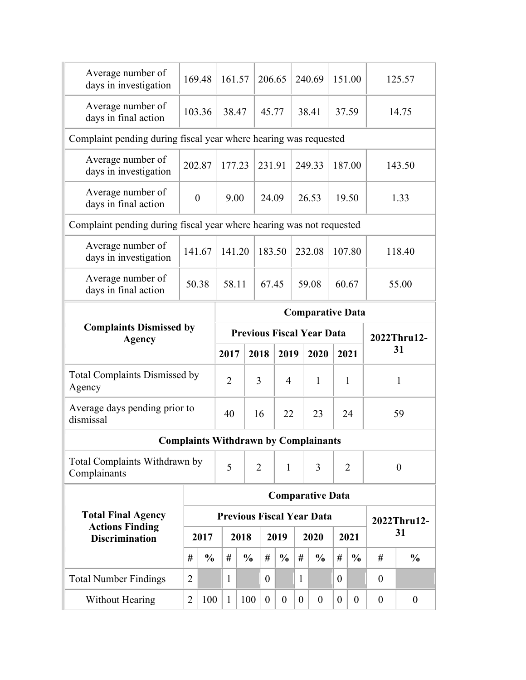| Average days pending prior to<br>Total Complaints Withdrawn by<br><b>Total Final Agency</b><br><b>Actions Finding</b><br><b>Total Number Findings</b> | #<br>$\overline{2}$ | 2017<br>$\frac{0}{0}$ | $\overline{2}$<br>40<br>5<br>#<br>1 | 2018<br>$\frac{0}{0}$ | 3<br>16<br>$\overline{2}$<br>#<br>$\theta$ | 4<br>22<br>$\mathbf{1}$<br>2019<br>$\frac{0}{0}$ | #<br>1          | 1<br>23<br><b>Complaints Withdrawn by Complainants</b><br>3<br><b>Comparative Data</b><br><b>Previous Fiscal Year Data</b><br>2020<br>$\frac{0}{0}$ | #<br>$\theta$   | $\mathbf{1}$<br>24<br>$\overline{2}$<br>2021<br>$\frac{0}{0}$ | #<br>$\theta$   | $\mathbf{1}$<br>59<br>$\overline{0}$<br>2022Thru12-<br>31<br>$\frac{6}{9}$ |
|-------------------------------------------------------------------------------------------------------------------------------------------------------|---------------------|-----------------------|-------------------------------------|-----------------------|--------------------------------------------|--------------------------------------------------|-----------------|-----------------------------------------------------------------------------------------------------------------------------------------------------|-----------------|---------------------------------------------------------------|-----------------|----------------------------------------------------------------------------|
|                                                                                                                                                       |                     |                       |                                     |                       |                                            |                                                  |                 |                                                                                                                                                     |                 |                                                               |                 |                                                                            |
|                                                                                                                                                       |                     |                       |                                     |                       |                                            |                                                  |                 |                                                                                                                                                     |                 |                                                               |                 |                                                                            |
|                                                                                                                                                       |                     |                       |                                     |                       |                                            |                                                  |                 |                                                                                                                                                     |                 |                                                               |                 |                                                                            |
|                                                                                                                                                       |                     |                       |                                     |                       |                                            |                                                  |                 |                                                                                                                                                     |                 |                                                               |                 |                                                                            |
|                                                                                                                                                       |                     |                       |                                     |                       |                                            |                                                  |                 |                                                                                                                                                     |                 |                                                               |                 |                                                                            |
|                                                                                                                                                       |                     |                       |                                     |                       |                                            |                                                  |                 |                                                                                                                                                     |                 |                                                               |                 |                                                                            |
|                                                                                                                                                       |                     |                       |                                     |                       |                                            |                                                  |                 |                                                                                                                                                     |                 |                                                               |                 |                                                                            |
| <b>Total Complaints Dismissed by</b>                                                                                                                  |                     |                       |                                     |                       |                                            |                                                  |                 |                                                                                                                                                     |                 |                                                               |                 |                                                                            |
|                                                                                                                                                       |                     |                       | 2017                                |                       | 2018                                       | 2019                                             |                 | 2020                                                                                                                                                |                 | 2021                                                          |                 | 31                                                                         |
| <b>Complaints Dismissed by</b>                                                                                                                        |                     |                       |                                     |                       |                                            |                                                  |                 | <b>Comparative Data</b><br><b>Previous Fiscal Year Data</b>                                                                                         |                 |                                                               |                 | 2022Thru12-                                                                |
| Average number of<br>days in final action                                                                                                             |                     | 50.38                 | 58.11                               |                       | 67.45                                      |                                                  |                 | 59.08                                                                                                                                               | 60.67           |                                                               |                 | 55.00                                                                      |
| Average number of<br>days in investigation                                                                                                            |                     | 141.67                | 141.20                              |                       | 183.50                                     |                                                  |                 | 232.08                                                                                                                                              | 107.80          |                                                               |                 | 118.40                                                                     |
|                                                                                                                                                       |                     |                       |                                     |                       |                                            |                                                  |                 | Complaint pending during fiscal year where hearing was not requested                                                                                |                 |                                                               |                 |                                                                            |
| Average number of<br>days in final action                                                                                                             |                     | $\boldsymbol{0}$      | 9.00                                |                       | 24.09                                      |                                                  |                 | 26.53                                                                                                                                               | 19.50           |                                                               |                 | 1.33                                                                       |
| Average number of<br>days in investigation                                                                                                            |                     | 202.87                | 177.23                              |                       | 231.91                                     |                                                  |                 | 249.33                                                                                                                                              | 187.00          |                                                               |                 | 143.50                                                                     |
|                                                                                                                                                       |                     |                       |                                     |                       |                                            |                                                  |                 | Complaint pending during fiscal year where hearing was requested                                                                                    |                 |                                                               |                 |                                                                            |
| Average number of<br>days in final action                                                                                                             |                     |                       |                                     |                       |                                            |                                                  |                 |                                                                                                                                                     |                 |                                                               |                 | 14.75                                                                      |
| days in investigation                                                                                                                                 |                     |                       |                                     |                       |                                            |                                                  |                 |                                                                                                                                                     |                 |                                                               |                 | 125.57                                                                     |
|                                                                                                                                                       | Average number of   |                       | 169.48<br>103.36                    |                       | 161.57<br>38.47                            |                                                  | 206.65<br>45.77 |                                                                                                                                                     | 240.69<br>38.41 |                                                               | 151.00<br>37.59 |                                                                            |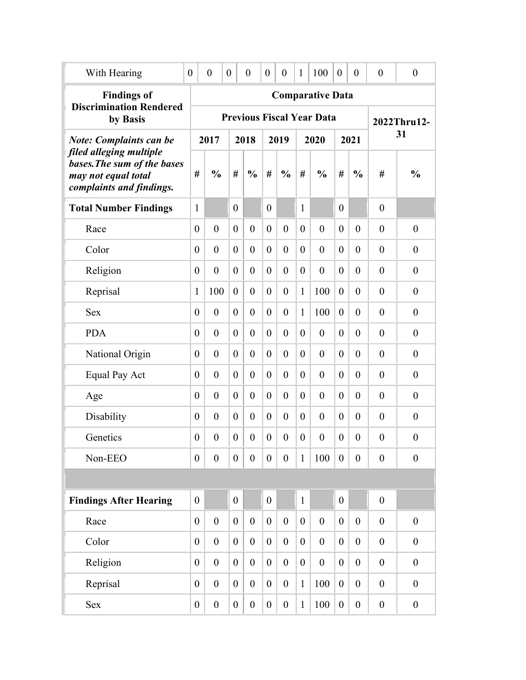| With Hearing                                                                                              | $\theta$         | $\boldsymbol{0}$ | $\boldsymbol{0}$ | $\overline{0}$   | $\theta$         | $\boldsymbol{0}$ | 1                | 100                              | $\overline{0}$   | $\boldsymbol{0}$ | $\theta$         | $\boldsymbol{0}$ |
|-----------------------------------------------------------------------------------------------------------|------------------|------------------|------------------|------------------|------------------|------------------|------------------|----------------------------------|------------------|------------------|------------------|------------------|
| <b>Findings of</b>                                                                                        |                  |                  |                  |                  |                  |                  |                  | <b>Comparative Data</b>          |                  |                  |                  |                  |
| <b>Discrimination Rendered</b><br>by Basis                                                                |                  |                  |                  |                  |                  |                  |                  | <b>Previous Fiscal Year Data</b> |                  |                  |                  | 2022Thru12-      |
| <b>Note: Complaints can be</b>                                                                            |                  | 2017             |                  | 2018             |                  | 2019             |                  | 2020                             |                  | 2021             |                  | 31               |
| filed alleging multiple<br>bases. The sum of the bases<br>may not equal total<br>complaints and findings. | #                | $\frac{0}{0}$    | #                | $\frac{0}{0}$    | #                | $\frac{0}{0}$    | #                | $\frac{0}{0}$                    | #                | $\frac{0}{0}$    | #                | $\frac{0}{0}$    |
| <b>Total Number Findings</b>                                                                              | 1                |                  | $\theta$         |                  | $\theta$         |                  | 1                |                                  | $\theta$         |                  | $\boldsymbol{0}$ |                  |
| Race                                                                                                      | $\overline{0}$   | $\overline{0}$   | $\theta$         | $\theta$         | $\theta$         | $\theta$         | $\boldsymbol{0}$ | $\overline{0}$                   | $\theta$         | $\overline{0}$   | $\theta$         | $\overline{0}$   |
| Color                                                                                                     | $\overline{0}$   | $\overline{0}$   | $\theta$         | $\overline{0}$   | $\theta$         | $\theta$         | $\theta$         | $\overline{0}$                   | $\theta$         | $\overline{0}$   | $\theta$         | $\overline{0}$   |
| Religion                                                                                                  | $\theta$         | $\overline{0}$   | $\theta$         | $\overline{0}$   | $\theta$         | $\theta$         | $\boldsymbol{0}$ | $\overline{0}$                   | $\theta$         | $\overline{0}$   | $\theta$         | $\overline{0}$   |
| Reprisal                                                                                                  | $\mathbf{1}$     | 100              | $\theta$         | $\overline{0}$   | $\theta$         | $\theta$         | $\mathbf{1}$     | 100                              | $\boldsymbol{0}$ | $\overline{0}$   | $\theta$         | $\overline{0}$   |
| <b>Sex</b>                                                                                                | $\overline{0}$   | $\overline{0}$   | $\theta$         | $\overline{0}$   | $\theta$         | $\theta$         | $\mathbf{1}$     | 100                              | $\mathbf{0}$     | $\overline{0}$   | $\theta$         | $\overline{0}$   |
| <b>PDA</b>                                                                                                | $\overline{0}$   | $\overline{0}$   | $\theta$         | $\overline{0}$   | $\theta$         | $\overline{0}$   | $\theta$         | $\overline{0}$                   | $\theta$         | $\overline{0}$   | $\theta$         | $\overline{0}$   |
| National Origin                                                                                           | $\overline{0}$   | $\overline{0}$   | $\theta$         | $\overline{0}$   | $\theta$         | $\theta$         | $\theta$         | $\overline{0}$                   | $\theta$         | $\overline{0}$   | $\overline{0}$   | $\overline{0}$   |
| Equal Pay Act                                                                                             | $\overline{0}$   | $\theta$         | $\theta$         | $\overline{0}$   | $\theta$         | $\theta$         | $\overline{0}$   | $\overline{0}$                   | $\theta$         | $\theta$         | $\theta$         | $\overline{0}$   |
| Age                                                                                                       | $\overline{0}$   | $\overline{0}$   | $\theta$         | $\overline{0}$   | $\theta$         | $\theta$         | $\theta$         | $\overline{0}$                   | $\theta$         | $\theta$         | $\theta$         | $\overline{0}$   |
| Disability                                                                                                | $\overline{0}$   | $\theta$         | $\theta$         | $\overline{0}$   | $\theta$         | $\theta$         | $\overline{0}$   | $\overline{0}$                   | $\theta$         | $\theta$         | $\theta$         | $\overline{0}$   |
| Genetics                                                                                                  | $\boldsymbol{0}$ | $\overline{0}$   | $\boldsymbol{0}$ | $\boldsymbol{0}$ | $\overline{0}$   | $\theta$         | $\boldsymbol{0}$ | $\boldsymbol{0}$                 | $\boldsymbol{0}$ | $\overline{0}$   | $\overline{0}$   | $\overline{0}$   |
| Non-EEO                                                                                                   | $\boldsymbol{0}$ | $\boldsymbol{0}$ | $\boldsymbol{0}$ | $\boldsymbol{0}$ | $\boldsymbol{0}$ | $\boldsymbol{0}$ | $\mathbf{1}$     | 100                              | $\boldsymbol{0}$ | $\boldsymbol{0}$ | $\boldsymbol{0}$ | $\boldsymbol{0}$ |
|                                                                                                           |                  |                  |                  |                  |                  |                  |                  |                                  |                  |                  |                  |                  |
| <b>Findings After Hearing</b>                                                                             | $\boldsymbol{0}$ |                  | $\boldsymbol{0}$ |                  | $\overline{0}$   |                  | $\mathbf{1}$     |                                  | $\boldsymbol{0}$ |                  | $\boldsymbol{0}$ |                  |
| Race                                                                                                      | $\overline{0}$   | $\boldsymbol{0}$ | $\boldsymbol{0}$ | $\boldsymbol{0}$ | $\mathbf{0}$     | $\boldsymbol{0}$ | $\boldsymbol{0}$ | $\boldsymbol{0}$                 | $\boldsymbol{0}$ | $\boldsymbol{0}$ | $\boldsymbol{0}$ | $\boldsymbol{0}$ |
| Color                                                                                                     | $\overline{0}$   | $\boldsymbol{0}$ | $\boldsymbol{0}$ | $\boldsymbol{0}$ | $\theta$         | $\boldsymbol{0}$ | $\boldsymbol{0}$ | $\boldsymbol{0}$                 | $\boldsymbol{0}$ | $\overline{0}$   | $\boldsymbol{0}$ | $\boldsymbol{0}$ |
| Religion                                                                                                  | $\boldsymbol{0}$ | $\boldsymbol{0}$ | $\boldsymbol{0}$ | $\boldsymbol{0}$ | $\theta$         | $\boldsymbol{0}$ | $\boldsymbol{0}$ | $\boldsymbol{0}$                 | $\boldsymbol{0}$ | $\boldsymbol{0}$ | $\boldsymbol{0}$ | $\boldsymbol{0}$ |
| Reprisal                                                                                                  | $\boldsymbol{0}$ | $\boldsymbol{0}$ | $\boldsymbol{0}$ | $\boldsymbol{0}$ | $\theta$         | $\boldsymbol{0}$ | $\mathbf{1}$     | 100                              | $\overline{0}$   | $\boldsymbol{0}$ | $\boldsymbol{0}$ | $\boldsymbol{0}$ |
| <b>Sex</b>                                                                                                | $\boldsymbol{0}$ | $\boldsymbol{0}$ | $\boldsymbol{0}$ | $\boldsymbol{0}$ | $\boldsymbol{0}$ | $\boldsymbol{0}$ | $\mathbf{1}$     | 100                              | $\boldsymbol{0}$ | $\boldsymbol{0}$ | $\boldsymbol{0}$ | $\boldsymbol{0}$ |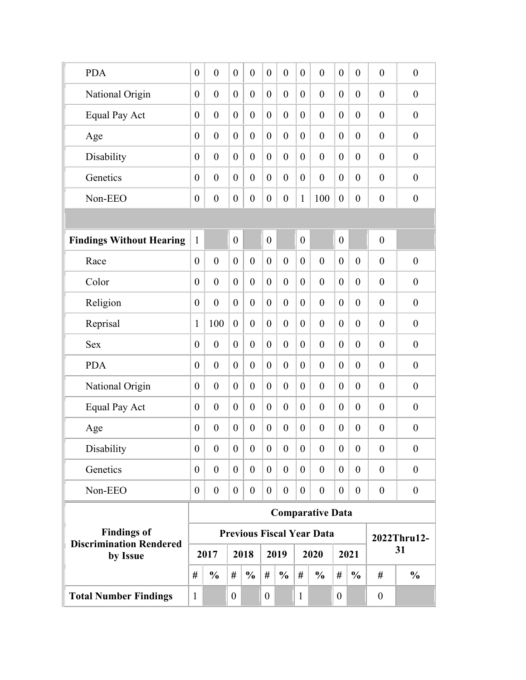| <b>Discrimination Rendered</b><br>by Issue |                                  | 2017                       |                                    | 2018                           |                      | 2019                 |                                | 2020                                        |                                    | 2021                           |                                  | 31                             |
|--------------------------------------------|----------------------------------|----------------------------|------------------------------------|--------------------------------|----------------------|----------------------|--------------------------------|---------------------------------------------|------------------------------------|--------------------------------|----------------------------------|--------------------------------|
| <b>Findings of</b>                         |                                  |                            |                                    |                                |                      |                      |                                | <b>Previous Fiscal Year Data</b>            |                                    |                                |                                  | 2022Thru12-                    |
| Non-EEO                                    | $\overline{0}$                   | $\boldsymbol{0}$           | $\boldsymbol{0}$                   | $\boldsymbol{0}$               | $\boldsymbol{0}$     | $\overline{0}$       | $\boldsymbol{0}$               | $\boldsymbol{0}$<br><b>Comparative Data</b> | $\boldsymbol{0}$                   | $\boldsymbol{0}$               | $\boldsymbol{0}$                 | $\boldsymbol{0}$               |
| Genetics                                   | $\boldsymbol{0}$                 | $\theta$                   | $\overline{0}$                     | $\boldsymbol{0}$               | $\overline{0}$       | $\overline{0}$       | $\boldsymbol{0}$               | $\boldsymbol{0}$                            | $\boldsymbol{0}$                   | $\overline{0}$                 | $\boldsymbol{0}$                 | $\boldsymbol{0}$               |
| Disability                                 | $\boldsymbol{0}$                 | $\boldsymbol{0}$           | $\boldsymbol{0}$                   | $\boldsymbol{0}$               | $\mathbf{0}$         | $\boldsymbol{0}$     | $\boldsymbol{0}$               | $\boldsymbol{0}$                            | $\boldsymbol{0}$                   | $\boldsymbol{0}$               | $\boldsymbol{0}$                 | $\boldsymbol{0}$               |
| Age                                        | $\overline{0}$                   | $\boldsymbol{0}$           | $\boldsymbol{0}$                   | $\boldsymbol{0}$               | $\boldsymbol{0}$     | $\boldsymbol{0}$     | $\boldsymbol{0}$               | $\boldsymbol{0}$                            | $\boldsymbol{0}$                   | $\boldsymbol{0}$               | $\boldsymbol{0}$                 | $\boldsymbol{0}$               |
| <b>Equal Pay Act</b>                       | $\overline{0}$                   | $\overline{0}$             | $\boldsymbol{0}$                   | $\boldsymbol{0}$               | $\theta$             | $\theta$             | $\boldsymbol{0}$               | $\boldsymbol{0}$                            | $\boldsymbol{0}$                   | $\overline{0}$                 | $\theta$                         | $\boldsymbol{0}$               |
| National Origin                            | $\overline{0}$                   | $\overline{0}$             | $\overline{0}$                     | $\boldsymbol{0}$               | $\theta$             | $\theta$             | $\boldsymbol{0}$               | $\boldsymbol{0}$                            | $\overline{0}$                     | $\overline{0}$                 | $\boldsymbol{0}$                 | $\boldsymbol{0}$               |
| <b>PDA</b>                                 | $\overline{0}$                   | $\mathbf{0}$               | $\overline{0}$                     | $\boldsymbol{0}$               | $\theta$             | $\theta$             | $\boldsymbol{0}$               | $\boldsymbol{0}$                            | $\overline{0}$                     | $\overline{0}$                 | $\boldsymbol{0}$                 | $\boldsymbol{0}$               |
| <b>Sex</b>                                 | $\overline{0}$                   | $\mathbf{0}$               | $\overline{0}$                     | $\boldsymbol{0}$               | $\theta$             | $\theta$             | $\boldsymbol{0}$               | $\boldsymbol{0}$                            | $\overline{0}$                     | $\overline{0}$                 | $\boldsymbol{0}$                 | $\boldsymbol{0}$               |
| Reprisal                                   | 1                                | 100                        | $\overline{0}$                     | $\boldsymbol{0}$               | $\theta$             | $\theta$             | $\boldsymbol{0}$               | $\boldsymbol{0}$                            | $\overline{0}$                     | $\overline{0}$                 | $\boldsymbol{0}$                 | $\boldsymbol{0}$               |
| Religion                                   | $\overline{0}$                   | $\mathbf{0}$               | $\overline{0}$                     | $\boldsymbol{0}$               | $\overline{0}$       | $\theta$             | $\boldsymbol{0}$               | $\boldsymbol{0}$                            | $\overline{0}$                     | $\overline{0}$                 | $\theta$                         | $\overline{0}$                 |
| Color                                      | $\overline{0}$                   | $\mathbf{0}$               | $\overline{0}$                     | $\overline{0}$                 | $\theta$             | $\overline{0}$       | $\overline{0}$                 | $\boldsymbol{0}$                            | $\overline{0}$                     | $\overline{0}$                 | $\theta$                         | $\boldsymbol{0}$               |
| Race                                       | $\overline{0}$                   | $\overline{0}$             | $\overline{0}$                     | $\overline{0}$                 | $\theta$             | $\theta$             | $\overline{0}$                 | $\overline{0}$                              | $\overline{0}$                     | $\theta$                       | $\mathbf{0}$                     | $\boldsymbol{0}$               |
| <b>Findings Without Hearing</b>            | $\mathbf{1}$                     |                            | $\overline{0}$                     |                                | $\boldsymbol{0}$     |                      | $\boldsymbol{0}$               |                                             | $\overline{0}$                     |                                | $\boldsymbol{0}$                 |                                |
|                                            |                                  |                            |                                    |                                |                      |                      |                                |                                             |                                    |                                |                                  |                                |
| Non-EEO                                    | $\overline{0}$<br>$\overline{0}$ | $\theta$<br>$\overline{0}$ | $\overline{0}$<br>$\boldsymbol{0}$ | $\mathbf{0}$<br>$\overline{0}$ | $\theta$<br>$\theta$ | $\theta$<br>$\theta$ | $\overline{0}$<br>$\mathbf{1}$ | $\boldsymbol{0}$<br>100                     | $\overline{0}$<br>$\boldsymbol{0}$ | $\overline{0}$<br>$\mathbf{0}$ | $\mathbf{0}$<br>$\boldsymbol{0}$ | $\mathbf{0}$<br>$\overline{0}$ |
| Disability<br>Genetics                     | $\overline{0}$                   | $\theta$                   | $\overline{0}$                     | $\mathbf{0}$                   | $\overline{0}$       | $\overline{0}$       | $\boldsymbol{0}$               | $\boldsymbol{0}$                            | $\overline{0}$                     | $\overline{0}$                 | $\mathbf{0}$                     | $\mathbf{0}$                   |
| Age                                        | $\overline{0}$                   | $\mathbf{0}$               | $\overline{0}$                     | $\boldsymbol{0}$               | $\theta$             | $\overline{0}$       | $\boldsymbol{0}$               | $\boldsymbol{0}$                            | $\overline{0}$                     | $\overline{0}$                 | $\boldsymbol{0}$                 | $\boldsymbol{0}$               |
| Equal Pay Act                              | $\overline{0}$                   | $\mathbf{0}$               | $\overline{0}$                     | $\boldsymbol{0}$               | $\theta$             | $\overline{0}$       | $\boldsymbol{0}$               | $\boldsymbol{0}$                            | $\overline{0}$                     | $\overline{0}$                 | $\boldsymbol{0}$                 | $\boldsymbol{0}$               |
| National Origin                            | $\overline{0}$                   | $\mathbf{0}$               | $\boldsymbol{0}$                   | $\boldsymbol{0}$               | $\theta$             | $\overline{0}$       | $\boldsymbol{0}$               | $\boldsymbol{0}$                            | $\overline{0}$                     | $\overline{0}$                 | $\boldsymbol{0}$                 | $\boldsymbol{0}$               |
| <b>PDA</b>                                 | $\overline{0}$                   | $\overline{0}$             | $\overline{0}$                     | $\boldsymbol{0}$               | $\theta$             | $\mathbf{0}$         | $\overline{0}$                 | $\mathbf{0}$                                | $\overline{0}$                     | $\mathbf{0}$                   | $\theta$                         | $\mathbf{0}$                   |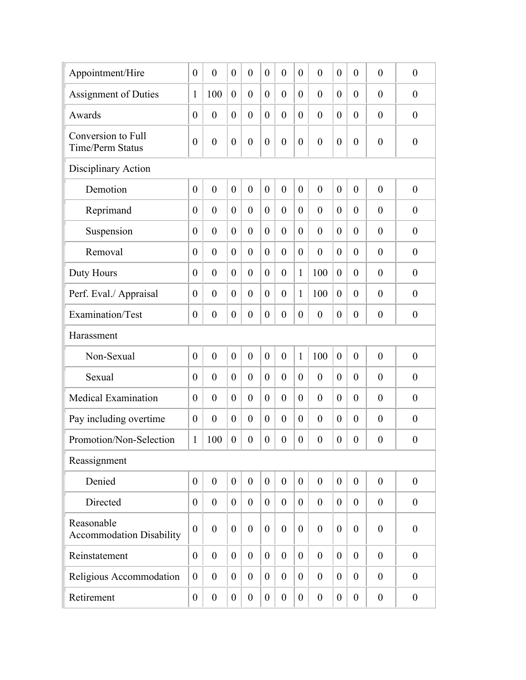| Appointment/Hire                              | $\overline{0}$   | $\overline{0}$   | $\overline{0}$   | $\overline{0}$   | $\overline{0}$   | $\overline{0}$   | $\theta$         | $\overline{0}$   | $\theta$         | $\theta$         | $\overline{0}$   | $\theta$         |
|-----------------------------------------------|------------------|------------------|------------------|------------------|------------------|------------------|------------------|------------------|------------------|------------------|------------------|------------------|
| <b>Assignment of Duties</b>                   | $\mathbf{1}$     | 100              | $\boldsymbol{0}$ | $\overline{0}$   | $\overline{0}$   | $\overline{0}$   | $\theta$         | $\overline{0}$   | $\theta$         | $\theta$         | $\overline{0}$   | $\theta$         |
| Awards                                        | $\boldsymbol{0}$ | $\boldsymbol{0}$ | $\boldsymbol{0}$ | $\overline{0}$   | $\overline{0}$   | $\boldsymbol{0}$ | $\theta$         | $\theta$         | $\theta$         | $\theta$         | $\overline{0}$   | $\overline{0}$   |
| Conversion to Full<br>Time/Perm Status        | $\boldsymbol{0}$ | $\boldsymbol{0}$ | $\boldsymbol{0}$ | $\boldsymbol{0}$ | $\overline{0}$   | $\boldsymbol{0}$ | $\boldsymbol{0}$ | $\overline{0}$   | $\overline{0}$   | $\theta$         | $\boldsymbol{0}$ | $\boldsymbol{0}$ |
| Disciplinary Action                           |                  |                  |                  |                  |                  |                  |                  |                  |                  |                  |                  |                  |
| Demotion                                      | $\boldsymbol{0}$ | $\boldsymbol{0}$ | $\boldsymbol{0}$ | $\overline{0}$   | $\overline{0}$   | $\overline{0}$   | $\mathbf{0}$     | $\overline{0}$   | $\overline{0}$   | $\overline{0}$   | $\overline{0}$   | $\overline{0}$   |
| Reprimand                                     | $\overline{0}$   | $\overline{0}$   | $\boldsymbol{0}$ | $\overline{0}$   | $\overline{0}$   | $\overline{0}$   | $\theta$         | $\theta$         | $\theta$         | $\theta$         | $\theta$         | $\overline{0}$   |
| Suspension                                    | $\overline{0}$   | $\overline{0}$   | $\boldsymbol{0}$ | $\mathbf{0}$     | $\overline{0}$   | $\overline{0}$   | $\theta$         | $\theta$         | $\theta$         | $\theta$         | $\theta$         | $\overline{0}$   |
| Removal                                       | $\overline{0}$   | $\overline{0}$   | $\overline{0}$   | $\mathbf{0}$     | $\overline{0}$   | $\overline{0}$   | $\theta$         | $\overline{0}$   | $\theta$         | $\theta$         | $\overline{0}$   | $\overline{0}$   |
| Duty Hours                                    | $\overline{0}$   | $\mathbf{0}$     | $\overline{0}$   | $\overline{0}$   | $\overline{0}$   | $\overline{0}$   | $\mathbf{1}$     | 100              | $\theta$         | $\overline{0}$   | $\overline{0}$   | $\overline{0}$   |
| Perf. Eval./ Appraisal                        | $\boldsymbol{0}$ | $\boldsymbol{0}$ | $\boldsymbol{0}$ | $\overline{0}$   | $\theta$         | $\boldsymbol{0}$ | $\mathbf{1}$     | 100              | $\overline{0}$   | $\overline{0}$   | $\overline{0}$   | $\overline{0}$   |
| Examination/Test                              | $\boldsymbol{0}$ | $\boldsymbol{0}$ | $\boldsymbol{0}$ | $\boldsymbol{0}$ | $\boldsymbol{0}$ | $\boldsymbol{0}$ | $\boldsymbol{0}$ | $\boldsymbol{0}$ | $\boldsymbol{0}$ | $\theta$         | $\boldsymbol{0}$ | $\boldsymbol{0}$ |
| Harassment                                    |                  |                  |                  |                  |                  |                  |                  |                  |                  |                  |                  |                  |
| Non-Sexual                                    | $\boldsymbol{0}$ | $\boldsymbol{0}$ | $\boldsymbol{0}$ | $\mathbf{0}$     | $\overline{0}$   | $\boldsymbol{0}$ | $\mathbf{1}$     | 100              | $\mathbf{0}$     | $\overline{0}$   | $\overline{0}$   | $\boldsymbol{0}$ |
| Sexual                                        | $\boldsymbol{0}$ | $\boldsymbol{0}$ | $\overline{0}$   | $\overline{0}$   | $\overline{0}$   | $\boldsymbol{0}$ | $\theta$         | $\theta$         | $\theta$         | $\theta$         | $\overline{0}$   | $\boldsymbol{0}$ |
| <b>Medical Examination</b>                    | $\boldsymbol{0}$ | $\overline{0}$   | $\boldsymbol{0}$ | $\overline{0}$   | $\overline{0}$   | $\overline{0}$   | $\theta$         | $\theta$         | $\theta$         | $\theta$         | $\overline{0}$   | $\boldsymbol{0}$ |
| Pay including overtime                        | $\boldsymbol{0}$ | $\boldsymbol{0}$ | $\boldsymbol{0}$ | $\theta$         | $\overline{0}$   | $\boldsymbol{0}$ | $\theta$         | $\theta$         | $\theta$         | $\overline{0}$   | $\overline{0}$   | $\boldsymbol{0}$ |
| Promotion/Non-Selection                       | $\mathbf{1}$     | 100              | $\boldsymbol{0}$ | $\boldsymbol{0}$ | $\boldsymbol{0}$ | $\boldsymbol{0}$ | $\boldsymbol{0}$ | $\boldsymbol{0}$ | $\boldsymbol{0}$ | $\boldsymbol{0}$ | $\boldsymbol{0}$ | $\boldsymbol{0}$ |
| Reassignment                                  |                  |                  |                  |                  |                  |                  |                  |                  |                  |                  |                  |                  |
| Denied                                        | $\overline{0}$   | $\boldsymbol{0}$ | $\boldsymbol{0}$ | $\boldsymbol{0}$ | $\overline{0}$   | $\boldsymbol{0}$ | $\mathbf{0}$     | $\boldsymbol{0}$ | $\overline{0}$   | $\boldsymbol{0}$ | $\boldsymbol{0}$ | $\boldsymbol{0}$ |
| Directed                                      | $\overline{0}$   | $\boldsymbol{0}$ | $\boldsymbol{0}$ | $\boldsymbol{0}$ | $\overline{0}$   | $\boldsymbol{0}$ | $\boldsymbol{0}$ | $\boldsymbol{0}$ | $\overline{0}$   | $\boldsymbol{0}$ | $\boldsymbol{0}$ | $\boldsymbol{0}$ |
| Reasonable<br><b>Accommodation Disability</b> | $\boldsymbol{0}$ | $\boldsymbol{0}$ | $\boldsymbol{0}$ | $\boldsymbol{0}$ | $\boldsymbol{0}$ | $\boldsymbol{0}$ | $\mathbf{0}$     | $\boldsymbol{0}$ | $\theta$         | $\boldsymbol{0}$ | $\boldsymbol{0}$ | $\boldsymbol{0}$ |
| Reinstatement                                 | $\overline{0}$   | $\boldsymbol{0}$ | $\boldsymbol{0}$ | $\overline{0}$   | $\boldsymbol{0}$ | $\boldsymbol{0}$ | $\overline{0}$   | $\boldsymbol{0}$ | $\overline{0}$   | $\boldsymbol{0}$ | $\mathbf{0}$     | $\overline{0}$   |
| Religious Accommodation                       | $\boldsymbol{0}$ | $\boldsymbol{0}$ | $\boldsymbol{0}$ | $\boldsymbol{0}$ | $\boldsymbol{0}$ | $\boldsymbol{0}$ | $\overline{0}$   | $\boldsymbol{0}$ | $\overline{0}$   | $\boldsymbol{0}$ | $\boldsymbol{0}$ | $\boldsymbol{0}$ |
| Retirement                                    | $\boldsymbol{0}$ | $\boldsymbol{0}$ | $\boldsymbol{0}$ | $\boldsymbol{0}$ | $\boldsymbol{0}$ | $\boldsymbol{0}$ | $\boldsymbol{0}$ | $\boldsymbol{0}$ | $\overline{0}$   | $\boldsymbol{0}$ | $\boldsymbol{0}$ | $\boldsymbol{0}$ |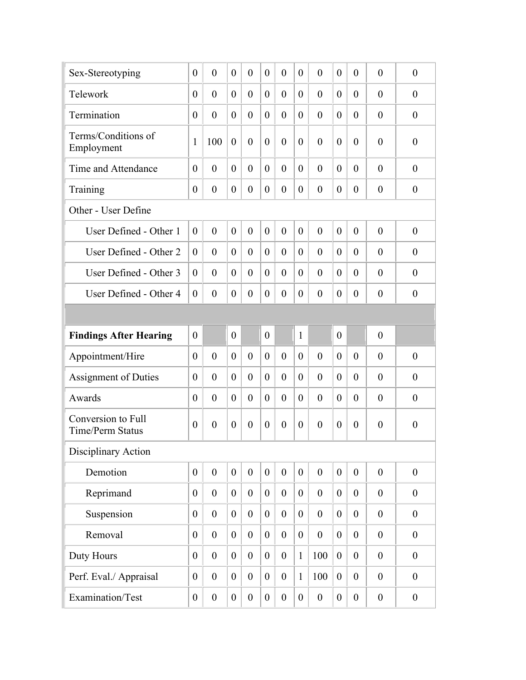| Sex-Stereotyping                              | $\theta$         | $\overline{0}$   | $\theta$         | $\overline{0}$   | $\overline{0}$   | $\overline{0}$   | $\theta$         | $\theta$         | $\theta$         | $\theta$         | $\theta$         | $\theta$         |
|-----------------------------------------------|------------------|------------------|------------------|------------------|------------------|------------------|------------------|------------------|------------------|------------------|------------------|------------------|
| Telework                                      | $\overline{0}$   | $\overline{0}$   | $\overline{0}$   | $\overline{0}$   | $\overline{0}$   | $\overline{0}$   | $\theta$         | $\theta$         | $\theta$         | $\theta$         | $\theta$         | $\theta$         |
| Termination                                   | $\overline{0}$   | $\overline{0}$   | $\boldsymbol{0}$ | $\overline{0}$   | $\overline{0}$   | $\overline{0}$   | $\theta$         | $\theta$         | $\theta$         | $\theta$         | $\theta$         | $\theta$         |
| Terms/Conditions of<br>Employment             | 1                | 100              | $\boldsymbol{0}$ | $\overline{0}$   | $\overline{0}$   | $\overline{0}$   | $\theta$         | $\overline{0}$   | $\theta$         | $\theta$         | $\overline{0}$   | $\boldsymbol{0}$ |
| Time and Attendance                           | $\theta$         | $\mathbf{0}$     | $\overline{0}$   | $\overline{0}$   | $\theta$         | $\overline{0}$   | $\theta$         | $\theta$         | $\theta$         | $\theta$         | $\theta$         | $\theta$         |
| Training                                      | $\overline{0}$   | $\overline{0}$   | $\boldsymbol{0}$ | $\overline{0}$   | $\overline{0}$   | $\overline{0}$   | $\theta$         | $\theta$         | $\theta$         | $\theta$         | $\theta$         | $\theta$         |
| Other - User Define                           |                  |                  |                  |                  |                  |                  |                  |                  |                  |                  |                  |                  |
| User Defined - Other 1                        | $\overline{0}$   | $\mathbf{0}$     | $\mathbf{0}$     | $\theta$         | $\overline{0}$   | $\overline{0}$   | $\theta$         | $\theta$         | $\theta$         | $\theta$         | $\theta$         | $\theta$         |
| User Defined - Other 2                        | $\overline{0}$   | $\mathbf{0}$     | $\overline{0}$   | $\overline{0}$   | $\overline{0}$   | $\theta$         | $\theta$         | $\theta$         | $\theta$         | $\theta$         | $\theta$         | $\theta$         |
| User Defined - Other 3                        | $\overline{0}$   | $\overline{0}$   | $\overline{0}$   | $\overline{0}$   | $\overline{0}$   | $\overline{0}$   | $\theta$         | $\theta$         | $\theta$         | $\theta$         | $\theta$         | $\overline{0}$   |
| User Defined - Other 4                        | $\overline{0}$   | $\mathbf{0}$     | $\boldsymbol{0}$ | $\overline{0}$   | $\overline{0}$   | $\overline{0}$   | $\overline{0}$   | $\overline{0}$   | $\theta$         | $\theta$         | $\overline{0}$   | $\overline{0}$   |
|                                               |                  |                  |                  |                  |                  |                  |                  |                  |                  |                  |                  |                  |
| <b>Findings After Hearing</b>                 | $\overline{0}$   |                  | $\boldsymbol{0}$ |                  | $\overline{0}$   |                  | $\mathbf{1}$     |                  | $\overline{0}$   |                  | $\theta$         |                  |
| Appointment/Hire                              | $\theta$         | $\overline{0}$   | $\overline{0}$   | $\overline{0}$   | $\overline{0}$   | $\overline{0}$   | $\theta$         | $\theta$         | $\theta$         | $\theta$         | $\theta$         | $\theta$         |
| <b>Assignment of Duties</b>                   | $\overline{0}$   | $\theta$         | $\theta$         | $\theta$         | $\overline{0}$   | $\theta$         | $\theta$         | $\theta$         | $\theta$         | $\theta$         | $\theta$         | $\theta$         |
| Awards                                        | $\overline{0}$   | $\overline{0}$   | $\overline{0}$   | $\theta$         | $\overline{0}$   | $\overline{0}$   | $\theta$         | $\theta$         | $\theta$         | $\overline{0}$   | $\overline{0}$   | $\theta$         |
| Conversion to Full<br><b>Time/Perm Status</b> | $\theta$         | $\overline{0}$   | $\overline{0}$   | $\overline{0}$   | $\theta$         | $\overline{0}$   | $\theta$         | $\theta$         | $\theta$         | $\theta$         | $\overline{0}$   | $\overline{0}$   |
| Disciplinary Action                           |                  |                  |                  |                  |                  |                  |                  |                  |                  |                  |                  |                  |
| Demotion                                      | $\overline{0}$   | $\boldsymbol{0}$ | $\boldsymbol{0}$ | $\boldsymbol{0}$ | $\overline{0}$   | $\overline{0}$   | $\boldsymbol{0}$ | $\boldsymbol{0}$ | $\mathbf{0}$     | $\boldsymbol{0}$ | $\theta$         | $\boldsymbol{0}$ |
| Reprimand                                     | $\boldsymbol{0}$ | $\boldsymbol{0}$ | $\boldsymbol{0}$ | $\boldsymbol{0}$ | $\overline{0}$   | $\boldsymbol{0}$ | $\overline{0}$   | $\boldsymbol{0}$ | $\overline{0}$   | $\overline{0}$   | $\theta$         | $\mathbf{0}$     |
| Suspension                                    | $\boldsymbol{0}$ | $\boldsymbol{0}$ | $\boldsymbol{0}$ | $\boldsymbol{0}$ | $\overline{0}$   | $\boldsymbol{0}$ | $\boldsymbol{0}$ | $\mathbf{0}$     | $\overline{0}$   | $\overline{0}$   | $\boldsymbol{0}$ | $\overline{0}$   |
| Removal                                       | $\overline{0}$   | $\boldsymbol{0}$ | $\boldsymbol{0}$ | $\mathbf{0}$     | $\overline{0}$   | $\boldsymbol{0}$ | $\boldsymbol{0}$ | $\mathbf{0}$     | $\overline{0}$   | $\overline{0}$   | $\boldsymbol{0}$ | $\overline{0}$   |
| Duty Hours                                    | $\boldsymbol{0}$ | $\boldsymbol{0}$ | $\boldsymbol{0}$ | $\boldsymbol{0}$ | $\overline{0}$   | $\boldsymbol{0}$ | $\mathbf{1}$     | 100              | $\boldsymbol{0}$ | $\overline{0}$   | $\boldsymbol{0}$ | $\boldsymbol{0}$ |
| Perf. Eval./ Appraisal                        | $\boldsymbol{0}$ | $\boldsymbol{0}$ | $\boldsymbol{0}$ | $\boldsymbol{0}$ | $\boldsymbol{0}$ | $\boldsymbol{0}$ | $\mathbf{1}$     | 100              | $\boldsymbol{0}$ | $\boldsymbol{0}$ | $\boldsymbol{0}$ | $\boldsymbol{0}$ |
| Examination/Test                              | $\boldsymbol{0}$ | $\boldsymbol{0}$ | $\boldsymbol{0}$ | $\boldsymbol{0}$ | $\overline{0}$   | $\boldsymbol{0}$ | $\boldsymbol{0}$ | $\boldsymbol{0}$ | $\boldsymbol{0}$ | $\boldsymbol{0}$ | $\boldsymbol{0}$ | $\boldsymbol{0}$ |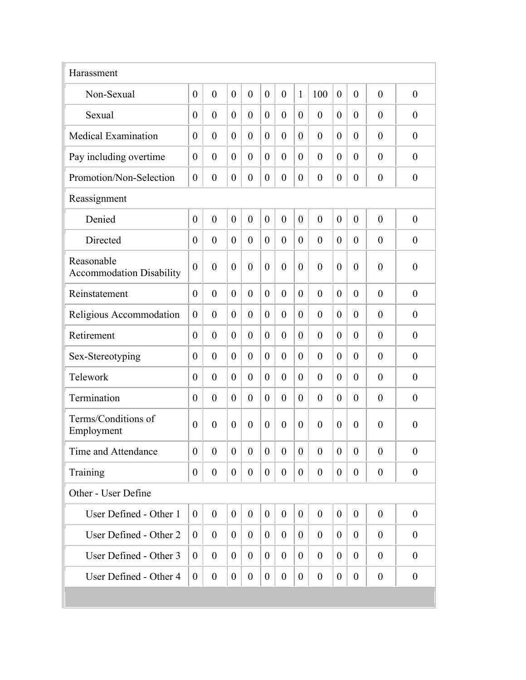| Harassment                                    |                  |                  |                  |                  |                  |                  |                  |                  |                  |                  |                  |                  |
|-----------------------------------------------|------------------|------------------|------------------|------------------|------------------|------------------|------------------|------------------|------------------|------------------|------------------|------------------|
| Non-Sexual                                    | $\theta$         | $\overline{0}$   | $\overline{0}$   | $\overline{0}$   | $\overline{0}$   | $\overline{0}$   | $\mathbf{1}$     | 100              | $\overline{0}$   | $\overline{0}$   | $\theta$         | $\overline{0}$   |
| Sexual                                        | $\theta$         | $\overline{0}$   | $\overline{0}$   | $\overline{0}$   | $\overline{0}$   | $\overline{0}$   | $\theta$         | $\theta$         | $\theta$         | $\theta$         | $\theta$         | $\theta$         |
| <b>Medical Examination</b>                    | $\theta$         | $\theta$         | $\overline{0}$   | $\overline{0}$   | $\theta$         | $\overline{0}$   | $\theta$         | $\theta$         | $\theta$         | $\theta$         | $\overline{0}$   | $\overline{0}$   |
| Pay including overtime                        | $\theta$         | $\theta$         | $\overline{0}$   | $\overline{0}$   | $\theta$         | $\overline{0}$   | $\theta$         | $\theta$         | $\theta$         | $\theta$         | $\theta$         | $\overline{0}$   |
| Promotion/Non-Selection                       | $\boldsymbol{0}$ | $\boldsymbol{0}$ | $\boldsymbol{0}$ | $\boldsymbol{0}$ | $\overline{0}$   | $\boldsymbol{0}$ | $\boldsymbol{0}$ | $\overline{0}$   | $\overline{0}$   | $\overline{0}$   | $\boldsymbol{0}$ | $\boldsymbol{0}$ |
| Reassignment                                  |                  |                  |                  |                  |                  |                  |                  |                  |                  |                  |                  |                  |
| Denied                                        | $\theta$         | $\mathbf{0}$     | $\overline{0}$   | $\overline{0}$   | $\theta$         | $\overline{0}$   | $\mathbf{0}$     | $\theta$         | $\theta$         | $\overline{0}$   | $\theta$         | $\overline{0}$   |
| Directed                                      | $\theta$         | $\mathbf{0}$     | $\overline{0}$   | $\overline{0}$   | $\theta$         | $\overline{0}$   | $\theta$         | $\theta$         | $\theta$         | $\overline{0}$   | $\overline{0}$   | $\overline{0}$   |
| Reasonable<br><b>Accommodation Disability</b> | $\theta$         | $\overline{0}$   | $\overline{0}$   | $\overline{0}$   | $\overline{0}$   | $\overline{0}$   | $\mathbf{0}$     | $\overline{0}$   | $\overline{0}$   | $\overline{0}$   | $\overline{0}$   | $\boldsymbol{0}$ |
| Reinstatement                                 | $\theta$         | $\overline{0}$   | $\overline{0}$   | $\theta$         | $\theta$         | $\overline{0}$   | $\theta$         | $\theta$         | $\theta$         | $\theta$         | $\theta$         | $\theta$         |
| Religious Accommodation                       | $\theta$         | $\overline{0}$   | $\overline{0}$   | $\theta$         | $\theta$         | $\overline{0}$   | $\theta$         | $\theta$         | $\theta$         | $\theta$         | $\theta$         | $\overline{0}$   |
| Retirement                                    | $\theta$         | $\overline{0}$   | $\overline{0}$   | $\overline{0}$   | $\theta$         | $\overline{0}$   | $\theta$         | $\theta$         | $\theta$         | $\theta$         | $\theta$         | $\overline{0}$   |
| Sex-Stereotyping                              | $\theta$         | $\theta$         | $\theta$         | $\theta$         | $\theta$         | $\overline{0}$   | $\theta$         | $\theta$         | $\theta$         | $\theta$         | $\theta$         | $\theta$         |
| Telework                                      | $\theta$         | $\overline{0}$   | $\overline{0}$   | $\theta$         | $\overline{0}$   | $\overline{0}$   | $\theta$         | $\theta$         | $\theta$         | $\theta$         | $\theta$         | $\theta$         |
| Termination                                   | $\theta$         | $\overline{0}$   | $\overline{0}$   | $\overline{0}$   | $\overline{0}$   | $\overline{0}$   | $\theta$         | $\theta$         | $\theta$         | $\overline{0}$   | $\theta$         | $\boldsymbol{0}$ |
| Terms/Conditions of<br>Employment             | $\theta$         | $\theta$         | $\overline{0}$   | $\theta$         | $\theta$         | $\theta$         | $\theta$         | $\theta$         | $\theta$         | $\theta$         | $\theta$         | $\overline{0}$   |
| Time and Attendance                           | $\boldsymbol{0}$ | $\boldsymbol{0}$ | $\boldsymbol{0}$ | $\boldsymbol{0}$ | $\boldsymbol{0}$ | $\boldsymbol{0}$ | $\boldsymbol{0}$ | $\overline{0}$   | $\boldsymbol{0}$ | $\boldsymbol{0}$ | $\boldsymbol{0}$ | $\boldsymbol{0}$ |
| Training                                      | $\theta$         | $\overline{0}$   | $\boldsymbol{0}$ | $\overline{0}$   | $\overline{0}$   | $\boldsymbol{0}$ | $\mathbf{0}$     | $\overline{0}$   | $\overline{0}$   | $\overline{0}$   | $\overline{0}$   | $\boldsymbol{0}$ |
| Other - User Define                           |                  |                  |                  |                  |                  |                  |                  |                  |                  |                  |                  |                  |
| User Defined - Other 1                        | $\boldsymbol{0}$ | $\boldsymbol{0}$ | $\boldsymbol{0}$ | $\boldsymbol{0}$ | $\overline{0}$   | $\mathbf{0}$     | $\boldsymbol{0}$ | $\overline{0}$   | $\overline{0}$   | $\boldsymbol{0}$ | $\overline{0}$   | $\boldsymbol{0}$ |
| User Defined - Other 2                        | $\overline{0}$   | $\boldsymbol{0}$ | $\boldsymbol{0}$ | $\boldsymbol{0}$ | $\overline{0}$   | $\boldsymbol{0}$ | $\mathbf{0}$     | $\boldsymbol{0}$ | $\overline{0}$   | $\overline{0}$   | $\overline{0}$   | $\boldsymbol{0}$ |
| User Defined - Other 3                        | $\overline{0}$   | $\boldsymbol{0}$ | $\overline{0}$   | $\boldsymbol{0}$ | $\overline{0}$   | $\overline{0}$   | $\theta$         | $\boldsymbol{0}$ | $\overline{0}$   | $\overline{0}$   | $\overline{0}$   | $\boldsymbol{0}$ |
| User Defined - Other 4                        | $\boldsymbol{0}$ | $\boldsymbol{0}$ | $\boldsymbol{0}$ | $\boldsymbol{0}$ | $\overline{0}$   | $\boldsymbol{0}$ | $\boldsymbol{0}$ | $\boldsymbol{0}$ | $\overline{0}$   | $\overline{0}$   | $\boldsymbol{0}$ | $\boldsymbol{0}$ |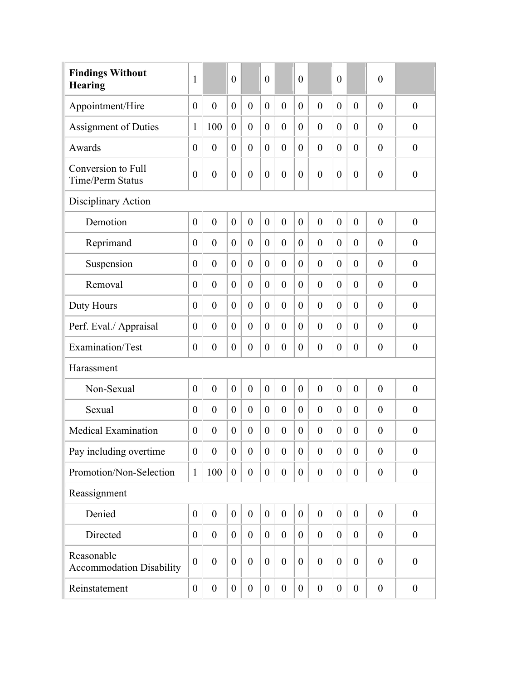| <b>Findings Without</b><br><b>Hearing</b>     | $\mathbf{1}$     |                  | $\overline{0}$   |                  | $\overline{0}$   |                  | $\overline{0}$   |                  | $\overline{0}$   |                  | $\boldsymbol{0}$ |                  |
|-----------------------------------------------|------------------|------------------|------------------|------------------|------------------|------------------|------------------|------------------|------------------|------------------|------------------|------------------|
| Appointment/Hire                              | $\overline{0}$   | $\overline{0}$   | $\mathbf{0}$     | $\overline{0}$   | $\overline{0}$   | $\mathbf{0}$     | $\overline{0}$   | $\overline{0}$   | $\overline{0}$   | $\overline{0}$   | $\overline{0}$   | $\overline{0}$   |
| <b>Assignment of Duties</b>                   | $\mathbf{1}$     | 100              | $\boldsymbol{0}$ | $\theta$         | $\overline{0}$   | $\overline{0}$   | $\boldsymbol{0}$ | $\overline{0}$   | $\overline{0}$   | $\overline{0}$   | $\overline{0}$   | $\theta$         |
| Awards                                        | $\overline{0}$   | $\overline{0}$   | $\overline{0}$   | $\theta$         | $\overline{0}$   | $\overline{0}$   | $\overline{0}$   | $\overline{0}$   | $\theta$         | $\overline{0}$   | $\overline{0}$   | $\overline{0}$   |
| Conversion to Full<br><b>Time/Perm Status</b> | $\boldsymbol{0}$ | $\boldsymbol{0}$ | $\boldsymbol{0}$ | $\overline{0}$   | $\overline{0}$   | $\boldsymbol{0}$ | $\theta$         | $\overline{0}$   | $\overline{0}$   | $\theta$         | $\overline{0}$   | $\boldsymbol{0}$ |
| Disciplinary Action                           |                  |                  |                  |                  |                  |                  |                  |                  |                  |                  |                  |                  |
| Demotion                                      | $\boldsymbol{0}$ | $\boldsymbol{0}$ | $\boldsymbol{0}$ | $\overline{0}$   | $\overline{0}$   | $\boldsymbol{0}$ | $\overline{0}$   | $\overline{0}$   | $\mathbf{0}$     | $\overline{0}$   | $\overline{0}$   | $\theta$         |
| Reprimand                                     | $\boldsymbol{0}$ | $\overline{0}$   | $\overline{0}$   | $\theta$         | $\overline{0}$   | $\overline{0}$   | $\theta$         | $\theta$         | $\theta$         | $\theta$         | $\overline{0}$   | $\theta$         |
| Suspension                                    | $\boldsymbol{0}$ | $\overline{0}$   | $\overline{0}$   | $\theta$         | $\overline{0}$   | $\overline{0}$   | $\overline{0}$   | $\theta$         | $\theta$         | $\theta$         | $\overline{0}$   | $\theta$         |
| Removal                                       | $\boldsymbol{0}$ | $\overline{0}$   | $\boldsymbol{0}$ | $\theta$         | $\overline{0}$   | $\overline{0}$   | $\theta$         | $\theta$         | $\theta$         | $\theta$         | $\overline{0}$   | $\overline{0}$   |
| Duty Hours                                    | $\boldsymbol{0}$ | $\theta$         | $\overline{0}$   | $\theta$         | $\overline{0}$   | $\boldsymbol{0}$ | $\theta$         | $\overline{0}$   | $\theta$         | $\theta$         | $\overline{0}$   | $\boldsymbol{0}$ |
| Perf. Eval./ Appraisal                        | $\boldsymbol{0}$ | $\boldsymbol{0}$ | $\overline{0}$   | $\theta$         | $\overline{0}$   | $\boldsymbol{0}$ | $\theta$         | $\overline{0}$   | $\theta$         | $\theta$         | $\overline{0}$   | $\boldsymbol{0}$ |
| Examination/Test                              | $\boldsymbol{0}$ | $\boldsymbol{0}$ | $\boldsymbol{0}$ | $\boldsymbol{0}$ | $\overline{0}$   | $\boldsymbol{0}$ | $\boldsymbol{0}$ | $\boldsymbol{0}$ | $\theta$         | $\boldsymbol{0}$ | $\boldsymbol{0}$ | $\boldsymbol{0}$ |
| Harassment                                    |                  |                  |                  |                  |                  |                  |                  |                  |                  |                  |                  |                  |
| Non-Sexual                                    | $\mathbf{0}$     | $\mathbf{0}$     | $\overline{0}$   | $\mathbf{0}$     | $\overline{0}$   | $\boldsymbol{0}$ | $\theta$         | $\overline{0}$   | $\mathbf{0}$     | $\mathbf{0}$     | $\overline{0}$   | $\boldsymbol{0}$ |
| Sexual                                        | $\overline{0}$   | $\boldsymbol{0}$ | $\overline{0}$   | $\mathbf{0}$     | $\overline{0}$   | $\boldsymbol{0}$ | $\theta$         | $\overline{0}$   | $\overline{0}$   | $\overline{0}$   | $\overline{0}$   | $\boldsymbol{0}$ |
| <b>Medical Examination</b>                    | $\boldsymbol{0}$ | $\boldsymbol{0}$ | $\boldsymbol{0}$ | $\boldsymbol{0}$ | $\overline{0}$   | $\boldsymbol{0}$ | $\boldsymbol{0}$ | $\overline{0}$   | $\overline{0}$   | $\theta$         | $\boldsymbol{0}$ | $\boldsymbol{0}$ |
| Pay including overtime                        | $\boldsymbol{0}$ | $\boldsymbol{0}$ | $\boldsymbol{0}$ | $\boldsymbol{0}$ | $\boldsymbol{0}$ | $\boldsymbol{0}$ | $\boldsymbol{0}$ | $\boldsymbol{0}$ | $\overline{0}$   | $\boldsymbol{0}$ | $\boldsymbol{0}$ | $\boldsymbol{0}$ |
| Promotion/Non-Selection                       | $\mathbf{1}$     | 100              | $\boldsymbol{0}$ | $\boldsymbol{0}$ | $\overline{0}$   | $\boldsymbol{0}$ | $\boldsymbol{0}$ | $\boldsymbol{0}$ | $\boldsymbol{0}$ | $\overline{0}$   | $\boldsymbol{0}$ | $\boldsymbol{0}$ |
| Reassignment                                  |                  |                  |                  |                  |                  |                  |                  |                  |                  |                  |                  |                  |
| Denied                                        | $\boldsymbol{0}$ | $\mathbf{0}$     | $\boldsymbol{0}$ | $\boldsymbol{0}$ | $\overline{0}$   | $\boldsymbol{0}$ | $\boldsymbol{0}$ | $\mathbf{0}$     | $\overline{0}$   | $\boldsymbol{0}$ | $\mathbf{0}$     | $\mathbf{0}$     |
| Directed                                      | $\boldsymbol{0}$ | $\mathbf{0}$     | $\boldsymbol{0}$ | $\mathbf{0}$     | $\overline{0}$   | $\boldsymbol{0}$ | $\boldsymbol{0}$ | $\boldsymbol{0}$ | $\overline{0}$   | $\boldsymbol{0}$ | $\boldsymbol{0}$ | $\boldsymbol{0}$ |
| Reasonable<br><b>Accommodation Disability</b> | $\boldsymbol{0}$ | $\boldsymbol{0}$ | $\boldsymbol{0}$ | $\boldsymbol{0}$ | $\overline{0}$   | $\boldsymbol{0}$ | $\boldsymbol{0}$ | $\mathbf{0}$     | $\overline{0}$   | $\overline{0}$   | $\boldsymbol{0}$ | $\boldsymbol{0}$ |
| Reinstatement                                 | $\boldsymbol{0}$ | $\boldsymbol{0}$ | $\boldsymbol{0}$ | $\boldsymbol{0}$ | $\overline{0}$   | $\boldsymbol{0}$ | $\boldsymbol{0}$ | $\boldsymbol{0}$ | $\boldsymbol{0}$ | $\boldsymbol{0}$ | $\boldsymbol{0}$ | $\boldsymbol{0}$ |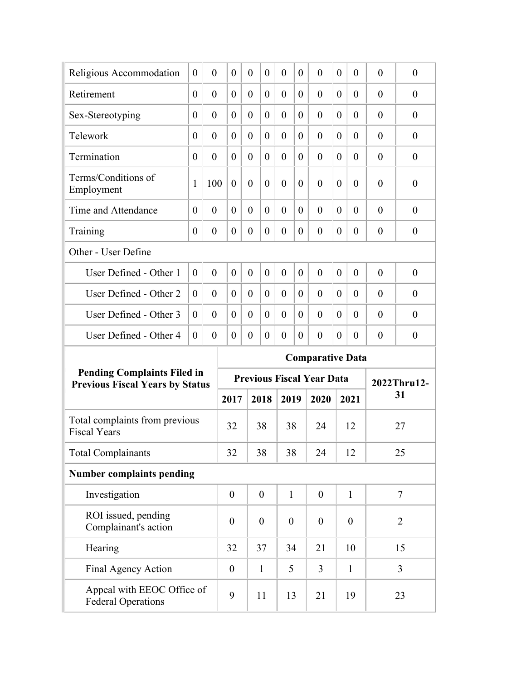| Religious Accommodation                               | $\theta$ | $\theta$       | $\theta$         | $\theta$       | $\theta$         | $\overline{0}$   | $\theta$ | $\theta$                         | $\Omega$ | $\theta$         | $\theta$       | $\theta$         |
|-------------------------------------------------------|----------|----------------|------------------|----------------|------------------|------------------|----------|----------------------------------|----------|------------------|----------------|------------------|
| Retirement                                            | $\theta$ | $\theta$       | $\overline{0}$   | $\theta$       | $\overline{0}$   | $\overline{0}$   | $\theta$ | $\theta$                         | $\theta$ | $\theta$         | $\theta$       | $\theta$         |
| Sex-Stereotyping                                      | $\theta$ | $\overline{0}$ | $\overline{0}$   | $\theta$       | $\overline{0}$   | $\overline{0}$   | $\theta$ | $\theta$                         | $\theta$ | $\theta$         | $\overline{0}$ | $\overline{0}$   |
| Telework                                              | $\theta$ | $\theta$       | $\overline{0}$   | $\theta$       | $\overline{0}$   | $\overline{0}$   | $\theta$ | $\theta$                         | $\theta$ | $\theta$         | $\theta$       | $\overline{0}$   |
| Termination                                           | $\theta$ | $\theta$       | $\overline{0}$   | $\overline{0}$ | $\theta$         | $\overline{0}$   | $\theta$ | $\theta$                         | $\theta$ | $\theta$         | $\overline{0}$ | $\overline{0}$   |
| Terms/Conditions of<br>Employment                     | 1        | 100            | $\overline{0}$   | $\theta$       | $\overline{0}$   | $\overline{0}$   | $\theta$ | $\theta$                         | $\theta$ | $\theta$         | $\overline{0}$ | $\boldsymbol{0}$ |
| Time and Attendance                                   | $\theta$ | $\theta$       | $\overline{0}$   | $\theta$       | $\theta$         | $\theta$         | $\theta$ | $\theta$                         | $\theta$ | $\theta$         | $\theta$       | $\theta$         |
| Training                                              | $\theta$ | $\overline{0}$ | $\theta$         | $\theta$       | $\overline{0}$   | $\overline{0}$   | $\theta$ | $\theta$                         | $\theta$ | $\theta$         | $\theta$       | $\overline{0}$   |
| Other - User Define                                   |          |                |                  |                |                  |                  |          |                                  |          |                  |                |                  |
| User Defined - Other 1                                | $\theta$ | $\theta$       | $\overline{0}$   | $\overline{0}$ | $\overline{0}$   | $\overline{0}$   | $\theta$ | $\theta$                         | $\theta$ | $\theta$         | $\theta$       | $\theta$         |
| User Defined - Other 2                                | $\theta$ | $\theta$       | $\theta$         | $\theta$       | $\theta$         | $\overline{0}$   | $\theta$ | $\theta$                         | $\theta$ | $\theta$         | $\theta$       | $\theta$         |
|                                                       |          |                |                  |                |                  | $\overline{0}$   | $\theta$ | $\theta$                         | $\theta$ | $\theta$         | $\theta$       | $\theta$         |
| User Defined - Other 3                                | $\theta$ | $\theta$       | $\theta$         | $\theta$       | $\theta$         |                  |          |                                  |          |                  |                |                  |
| User Defined - Other 4                                | $\theta$ | $\theta$       | $\theta$         | $\theta$       | $\overline{0}$   | $\overline{0}$   | $\theta$ | $\theta$                         | $\theta$ | $\theta$         | $\theta$       | $\boldsymbol{0}$ |
|                                                       |          |                |                  |                |                  |                  |          | <b>Comparative Data</b>          |          |                  |                |                  |
| <b>Pending Complaints Filed in</b>                    |          |                |                  |                |                  |                  |          | <b>Previous Fiscal Year Data</b> |          |                  |                | 2022Thru12-      |
| <b>Previous Fiscal Years by Status</b>                |          |                | 2017             |                | 2018             | 2019             |          | 2020                             |          | 2021             |                | 31               |
| Total complaints from previous<br><b>Fiscal Years</b> |          |                | 32               |                | 38               | 38               |          | 24                               |          | 12               |                | 27               |
| <b>Total Complainants</b>                             |          |                | 32               |                | 38               | 38               |          | 24                               |          | 12               |                | 25               |
| <b>Number complaints pending</b>                      |          |                |                  |                |                  |                  |          |                                  |          |                  |                |                  |
| Investigation                                         |          |                | $\boldsymbol{0}$ |                | $\boldsymbol{0}$ | $\mathbf{1}$     |          | $\overline{0}$                   |          | $\mathbf{1}$     |                | $\tau$           |
| ROI issued, pending<br>Complainant's action           |          |                | $\boldsymbol{0}$ |                | $\boldsymbol{0}$ | $\boldsymbol{0}$ |          | $\boldsymbol{0}$                 |          | $\boldsymbol{0}$ |                | $\overline{2}$   |
| Hearing                                               |          |                | 32               |                | 37               | 34               |          | 21                               |          | 10               |                | 15               |
| Final Agency Action                                   |          |                | $\boldsymbol{0}$ |                | $\mathbf{1}$     | 5                |          | 3                                |          | $\mathbf{1}$     |                | $\overline{3}$   |